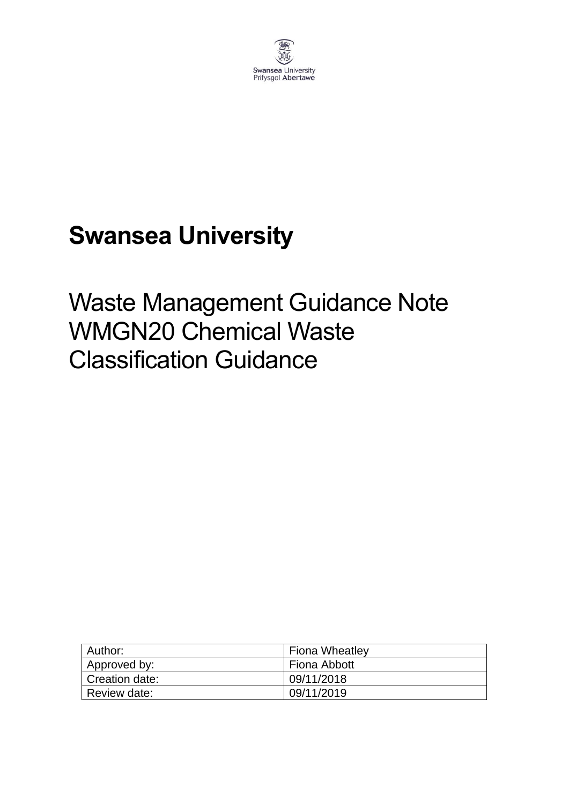

# **Swansea University**

# Waste Management Guidance Note WMGN20 Chemical Waste Classification Guidance

| Author:        | <b>Fiona Wheatley</b> |
|----------------|-----------------------|
| Approved by:   | Fiona Abbott          |
| Creation date: | 09/11/2018            |
| Review date:   | 09/11/2019            |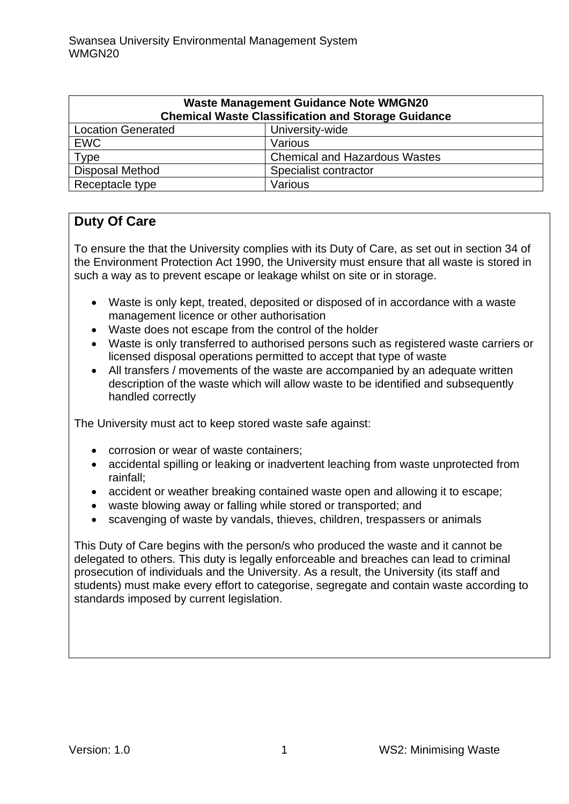| <b>Waste Management Guidance Note WMGN20</b><br><b>Chemical Waste Classification and Storage Guidance</b> |                                      |  |  |  |  |  |
|-----------------------------------------------------------------------------------------------------------|--------------------------------------|--|--|--|--|--|
| <b>Location Generated</b><br>University-wide                                                              |                                      |  |  |  |  |  |
| <b>EWC</b>                                                                                                | Various                              |  |  |  |  |  |
| Type                                                                                                      | <b>Chemical and Hazardous Wastes</b> |  |  |  |  |  |
| <b>Disposal Method</b>                                                                                    | Specialist contractor                |  |  |  |  |  |
| Receptacle type                                                                                           | Various                              |  |  |  |  |  |

# **Duty Of Care**

To ensure the that the University complies with its Duty of Care, as set out in section 34 of the Environment Protection Act 1990, the University must ensure that all waste is stored in such a way as to prevent escape or leakage whilst on site or in storage.

- Waste is only kept, treated, deposited or disposed of in accordance with a waste management licence or other authorisation
- Waste does not escape from the control of the holder
- Waste is only transferred to authorised persons such as registered waste carriers or licensed disposal operations permitted to accept that type of waste
- All transfers / movements of the waste are accompanied by an adequate written description of the waste which will allow waste to be identified and subsequently handled correctly

The University must act to keep stored waste safe against:

- corrosion or wear of waste containers;
- accidental spilling or leaking or inadvertent leaching from waste unprotected from rainfall;
- accident or weather breaking contained waste open and allowing it to escape;
- waste blowing away or falling while stored or transported; and
- scavenging of waste by vandals, thieves, children, trespassers or animals

This Duty of Care begins with the person/s who produced the waste and it cannot be delegated to others. This duty is legally enforceable and breaches can lead to criminal prosecution of individuals and the University. As a result, the University (its staff and students) must make every effort to categorise, segregate and contain waste according to standards imposed by current legislation.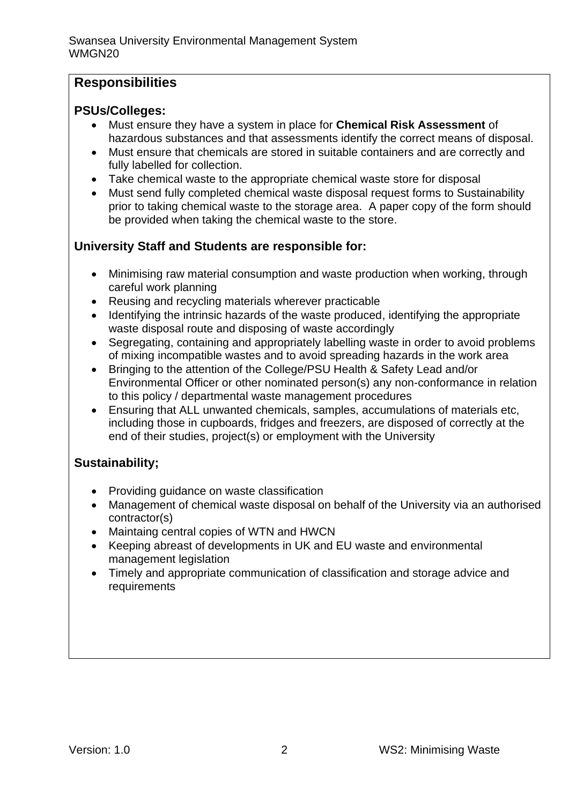# **Responsibilities**

## **PSUs/Colleges:**

- Must ensure they have a system in place for **Chemical Risk Assessment** of hazardous substances and that assessments identify the correct means of disposal.
- Must ensure that chemicals are stored in suitable containers and are correctly and fully labelled for collection.
- Take chemical waste to the appropriate chemical waste store for disposal
- Must send fully completed chemical waste disposal request forms to Sustainability prior to taking chemical waste to the storage area. A paper copy of the form should be provided when taking the chemical waste to the store.

# **University Staff and Students are responsible for:**

- Minimising raw material consumption and waste production when working, through careful work planning
- Reusing and recycling materials wherever practicable
- Identifying the intrinsic hazards of the waste produced, identifying the appropriate waste disposal route and disposing of waste accordingly
- Segregating, containing and appropriately labelling waste in order to avoid problems of mixing incompatible wastes and to avoid spreading hazards in the work area
- Bringing to the attention of the College/PSU Health & Safety Lead and/or Environmental Officer or other nominated person(s) any non-conformance in relation to this policy / departmental waste management procedures
- Ensuring that ALL unwanted chemicals, samples, accumulations of materials etc, including those in cupboards, fridges and freezers, are disposed of correctly at the end of their studies, project(s) or employment with the University

## **Sustainability;**

- Providing guidance on waste classification
- Management of chemical waste disposal on behalf of the University via an authorised contractor(s)
- Maintaing central copies of WTN and HWCN
- Keeping abreast of developments in UK and EU waste and environmental management legislation
- Timely and appropriate communication of classification and storage advice and requirements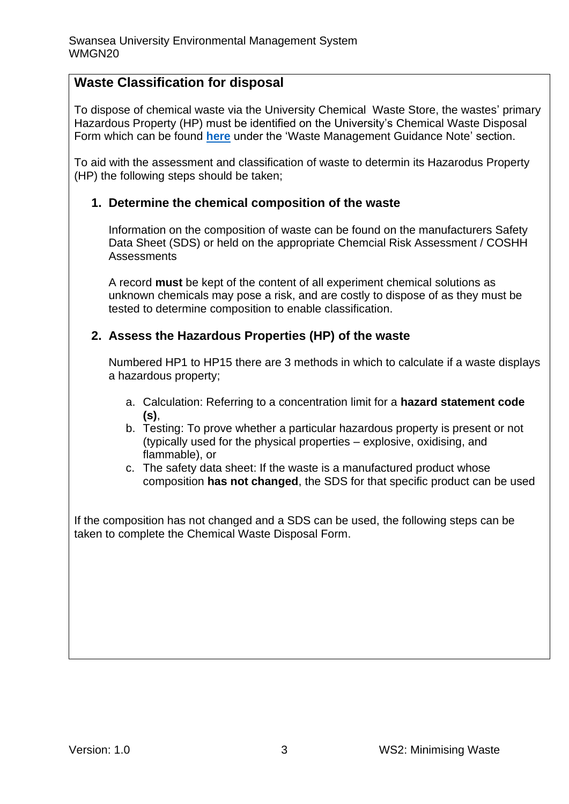# **Waste Classification for disposal**

To dispose of chemical waste via the University Chemical Waste Store, the wastes' primary Hazardous Property (HP) must be identified on the University's Chemical Waste Disposal Form which can be found **[here](https://www.swansea.ac.uk/sustainability/waste/#waste-management-guidance-notes=is-expanded)** under the 'Waste Management Guidance Note' section.

To aid with the assessment and classification of waste to determin its Hazarodus Property (HP) the following steps should be taken;

#### **1. Determine the chemical composition of the waste**

Information on the composition of waste can be found on the manufacturers Safety Data Sheet (SDS) or held on the appropriate Chemcial Risk Assessment / COSHH **Assessments** 

A record **must** be kept of the content of all experiment chemical solutions as unknown chemicals may pose a risk, and are costly to dispose of as they must be tested to determine composition to enable classification.

#### **2. Assess the Hazardous Properties (HP) of the waste**

Numbered HP1 to HP15 there are 3 methods in which to calculate if a waste displays a hazardous property;

- a. Calculation: Referring to a concentration limit for a **hazard statement code (s)**,
- b. Testing: To prove whether a particular hazardous property is present or not (typically used for the physical properties – explosive, oxidising, and flammable), or
- c. The safety data sheet: If the waste is a manufactured product whose composition **has not changed**, the SDS for that specific product can be used

If the composition has not changed and a SDS can be used, the following steps can be taken to complete the Chemical Waste Disposal Form.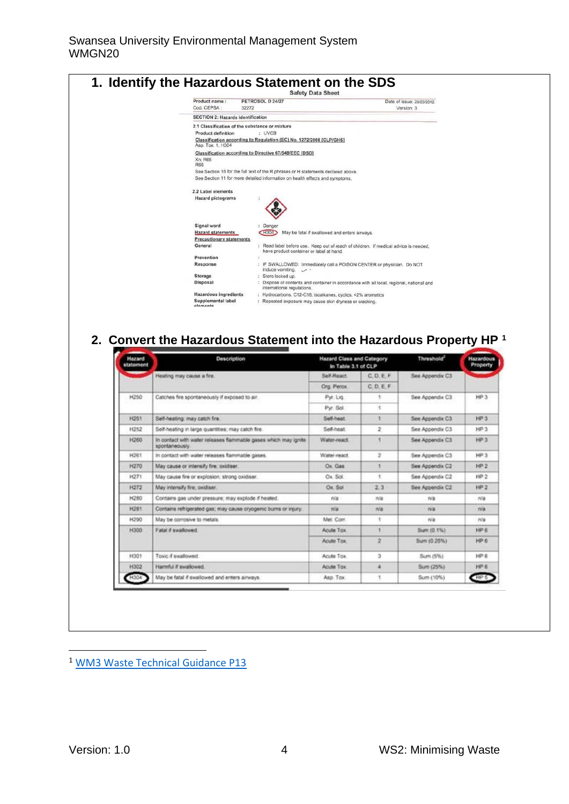

# **2. Convert the Hazardous Statement into the Hazardous Property HP <sup>1</sup>**

| Hazard<br>statement | <b>Description</b>                                                                 | Hazard Class and Category<br>In Table 3.1 of CLP |                      | Threshold <sup>2</sup> | <b>Hazardous</b><br>Property |  |
|---------------------|------------------------------------------------------------------------------------|--------------------------------------------------|----------------------|------------------------|------------------------------|--|
|                     | Heating may cause a fire.                                                          | SAY-React                                        | C, D, E, F           | See Appendo: C3        |                              |  |
|                     |                                                                                    | Org. Perce.                                      | CDEF                 |                        |                              |  |
| H250                | Catches fire spontaneously if exposed to air.                                      | Pyr. Lig.                                        |                      | See Appendix C3        | HP <sub>3</sub>              |  |
|                     |                                                                                    | Pyr. Sol.                                        | ٠                    |                        |                              |  |
| H261                | Self-heating: may catch fre.                                                       | Self-heat.                                       |                      | See Appendix C3        | <b>KR3</b>                   |  |
| H252                | Self-heating in large quantities; may catch fire.                                  | Self-heat                                        | 2<br>See Appendix C3 |                        | HP.3                         |  |
| <b>H260</b>         | in contact with water releases flammable gases which may ignite.<br>spontaneously. | Water-react                                      |                      | See Appendix C3        | <b>HP3</b>                   |  |
| H261                | In contact with water releases flammable gases.                                    | Water-react                                      | 2                    | See Appendix C3        | HP3                          |  |
| H270                | May cause or intensity fire, oxidiser.                                             | Ox Gas                                           | ¥                    | See Appendix C2        | HP2                          |  |
| H271                | May cause fire or explosion: strong cxidiser.                                      | Ox Sol.                                          | ٠                    | See Appendix C2        | HP2                          |  |
| H272                | May intensify fire; oxidiser.                                                      | Ox Sol                                           | 2.3                  | See Appendix C2        | HP2                          |  |
| H280                | Contains gas under pressure: may explode if heated.                                | n'a                                              | n/a                  | n/a                    | rva                          |  |
| H281                | Contains refrigerated gas; may cause cryogenic burns or injury.                    | rva:                                             | n'a                  | n/a                    | n/a                          |  |
| H290                | May be corrosive to metals.                                                        | Met. Corr.                                       | 1                    | rva                    | na                           |  |
| <b>H300</b>         | Fatal if swallowed.                                                                | Acute Tox                                        |                      | Sum (0.1%)             | HP 6                         |  |
|                     |                                                                                    | Acute Tox                                        | ż                    | Sum (0.25%)            | HP 6                         |  |
| 1001                | Toxic if swallowed.                                                                | Acuté Tox.                                       | э                    | Sum (5%)               | HPE                          |  |
| H302                | Hamful if swallowed.                                                               | Acute Tox:                                       | a                    | Sum (25%)              | HP &                         |  |
|                     | May be fatal if swallowed and enters airways.                                      | Asp. Tox.                                        | ٩                    | Sum (10%)              | <b>HE</b>                    |  |

<sup>1</sup> [WM3 Waste Technical Guidance P13](https://assets.publishing.service.gov.uk/government/uploads/system/uploads/attachment_data/file/719394/Waste-classification-technical-guidance-WM3.pdf)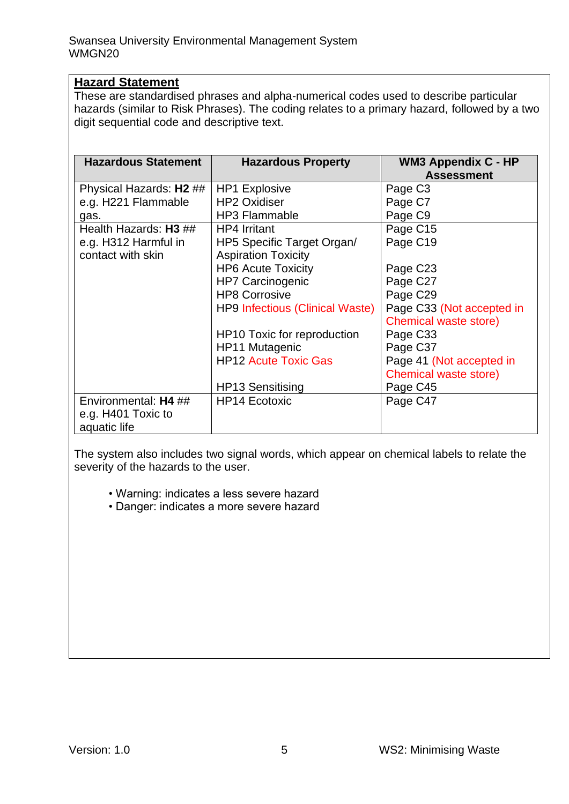#### **Hazard Statement**

These are standardised phrases and alpha-numerical codes used to describe particular hazards (similar to Risk Phrases). The coding relates to a primary hazard, followed by a two digit sequential code and descriptive text.

| <b>Hazardous Statement</b> | <b>Hazardous Property</b>              | <b>WM3 Appendix C - HP</b><br><b>Assessment</b> |  |  |  |  |
|----------------------------|----------------------------------------|-------------------------------------------------|--|--|--|--|
| Physical Hazards: H2 ##    | <b>HP1 Explosive</b>                   | Page C <sub>3</sub>                             |  |  |  |  |
| e.g. H221 Flammable        | <b>HP2 Oxidiser</b>                    | Page C7                                         |  |  |  |  |
| gas.                       | <b>HP3 Flammable</b>                   | Page C9                                         |  |  |  |  |
| Health Hazards: H3 ##      | <b>HP4 Irritant</b>                    | Page C15                                        |  |  |  |  |
| e.g. H312 Harmful in       | HP5 Specific Target Organ/             | Page C19                                        |  |  |  |  |
| contact with skin          | <b>Aspiration Toxicity</b>             |                                                 |  |  |  |  |
|                            | <b>HP6 Acute Toxicity</b>              | Page C23                                        |  |  |  |  |
|                            | <b>HP7 Carcinogenic</b>                | Page C27                                        |  |  |  |  |
|                            | <b>HP8 Corrosive</b>                   | Page C29                                        |  |  |  |  |
|                            | <b>HP9 Infectious (Clinical Waste)</b> | Page C33 (Not accepted in                       |  |  |  |  |
|                            |                                        | Chemical waste store)                           |  |  |  |  |
|                            | HP10 Toxic for reproduction            | Page C33                                        |  |  |  |  |
|                            | HP11 Mutagenic                         | Page C37                                        |  |  |  |  |
|                            | <b>HP12 Acute Toxic Gas</b>            | Page 41 (Not accepted in                        |  |  |  |  |
|                            |                                        | Chemical waste store)                           |  |  |  |  |
|                            | <b>HP13 Sensitising</b>                | Page C45                                        |  |  |  |  |
| Environmental: H4 ##       | <b>HP14 Ecotoxic</b>                   | Page C47                                        |  |  |  |  |
| e.g. H401 Toxic to         |                                        |                                                 |  |  |  |  |
| aquatic life               |                                        |                                                 |  |  |  |  |

The system also includes two signal words, which appear on chemical labels to relate the severity of the hazards to the user.

• Warning: indicates a less severe hazard

• Danger: indicates a more severe hazard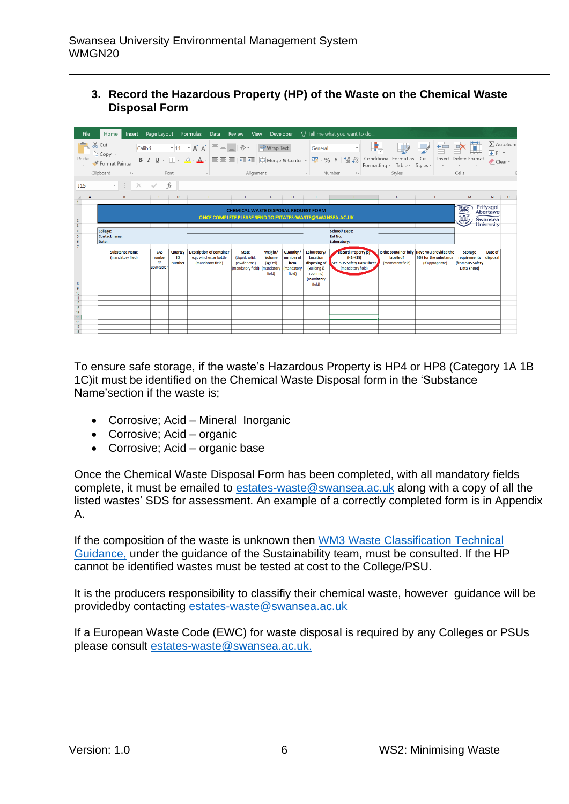#### **3. Record the Hazardous Property (HP) of the Waste on the Chemical Waste Disposal Form**

| File<br>Paste                          | Insert Page Layout<br>Home<br>$\chi$ Cut<br>Calibri<br><sup>E</sup> n Copy +<br>Format Painter<br>Clipboard<br>$\overline{12}$ |                                     | Font                    | Formulas Data Review View<br>$\mathbf{F}$ 11 $\mathbf{A} \mathbf{A}$ $\mathbf{A} = \mathbf{I}$ $\mathbf{B}$ $\mathbf{B}$ $\mathbf{A}$ $\mathbf{A}$<br>B <i>I</i> U -   ⊞ -   ⑦ - A -   ≣ ≣ ≣   ض ≣ ≣   ⊠ Merge & Center - │ ❤ - % 9 │ 50 -90<br>$\overline{12}$ | Alignment                                                            | Developer                                                          |                                                             | General<br>$\sqrt{2}$                                                                      | $\bigcirc$ Tell me what you want to do<br>$\tau$<br>Number<br>$\overline{12}$              | Conditional Format as Cell<br>Formatting * Table * Styles *<br>Styles | 급<br>$\mathbf{v}$                                                                         | F<br>Insert Delete Format<br>Cells                                       | $\overline{\bigtriangledown}$ Fill $\tau$<br>Clear - | $\Sigma$ AutoSum |
|----------------------------------------|--------------------------------------------------------------------------------------------------------------------------------|-------------------------------------|-------------------------|-----------------------------------------------------------------------------------------------------------------------------------------------------------------------------------------------------------------------------------------------------------------|----------------------------------------------------------------------|--------------------------------------------------------------------|-------------------------------------------------------------|--------------------------------------------------------------------------------------------|--------------------------------------------------------------------------------------------|-----------------------------------------------------------------------|-------------------------------------------------------------------------------------------|--------------------------------------------------------------------------|------------------------------------------------------|------------------|
| J15                                    | -11<br>$\times$<br>$\mathbf{v}$ .                                                                                              | $\checkmark$                        | fx                      |                                                                                                                                                                                                                                                                 |                                                                      |                                                                    |                                                             |                                                                                            |                                                                                            |                                                                       |                                                                                           |                                                                          |                                                      |                  |
| $\mathbf{A}$<br>ᆀ<br>$\mathbf{1}$      | B                                                                                                                              | -C                                  | $\mathbf{D}$            | Engineering                                                                                                                                                                                                                                                     | F.                                                                   | G                                                                  | н.                                                          |                                                                                            |                                                                                            |                                                                       |                                                                                           | M                                                                        | N                                                    | $\circ$          |
| $\overline{c}$<br>$\overline{3}$       | <b>CHEMICAL WASTE DISPOSAL REQUEST FORM</b><br>ONCE COMPLETE PLEASE SEND TO ESTATES-WASTE@SWANSEA.AC.UK                        |                                     |                         |                                                                                                                                                                                                                                                                 |                                                                      |                                                                    |                                                             |                                                                                            |                                                                                            |                                                                       | 352                                                                                       | Prifysgol<br>Abertawe<br>Swansea<br><b>University</b>                    |                                                      |                  |
| $\overline{4}$<br>5<br>$6\overline{6}$ | <b>School/Dept:</b><br>College:<br>Ext No:<br><b>Contact name:</b><br>Laboratory:<br>Date:                                     |                                     |                         |                                                                                                                                                                                                                                                                 |                                                                      |                                                                    |                                                             |                                                                                            |                                                                                            |                                                                       |                                                                                           |                                                                          |                                                      |                  |
| 8                                      | <b>Substance Name</b><br>(mandatory filed)                                                                                     | CAS<br>number<br>(if<br>applicable) | Quartzy<br>ID<br>number | <b>Description of container</b><br>e.g. winchester bottle<br>(mandatory field)                                                                                                                                                                                  | <b>State</b><br>(Liquid, solid,<br>powder etc.)<br>(mandatory field) | Weight/<br>Volume<br>(kg/ml)<br><i><b>Imandatory</b></i><br>field) | <b>Quantity</b><br>number of<br>item<br>mandatory<br>field) | Laboratory/<br>Location<br>disposing of<br>(Building &<br>room no)<br>(mandatory<br>field) | <b>Hazard Property (s)</b><br>$(H1-H15)$<br>See SDS Safety Data Sheet<br>(mandatory field) | labelled?<br>(mandatory field)                                        | Is the container fully Have you provided the<br>SDS for the substance<br>(if appropriate) | <b>Storage</b><br>requirements<br>(from SDS Safety<br><b>Data Sheet)</b> | Date of<br>disposal                                  |                  |
| 9<br>10                                |                                                                                                                                |                                     |                         |                                                                                                                                                                                                                                                                 |                                                                      |                                                                    |                                                             |                                                                                            |                                                                                            |                                                                       |                                                                                           |                                                                          |                                                      |                  |
| 11<br>12<br>13                         |                                                                                                                                |                                     |                         |                                                                                                                                                                                                                                                                 |                                                                      |                                                                    |                                                             |                                                                                            |                                                                                            |                                                                       |                                                                                           |                                                                          |                                                      |                  |
| 14<br>15<br>16                         |                                                                                                                                |                                     |                         |                                                                                                                                                                                                                                                                 |                                                                      |                                                                    |                                                             |                                                                                            |                                                                                            |                                                                       |                                                                                           |                                                                          |                                                      |                  |
| 17<br>18                               |                                                                                                                                |                                     |                         |                                                                                                                                                                                                                                                                 |                                                                      |                                                                    |                                                             |                                                                                            |                                                                                            |                                                                       |                                                                                           |                                                                          |                                                      |                  |

To ensure safe storage, if the waste's Hazardous Property is HP4 or HP8 (Category 1A 1B 1C)it must be identified on the Chemical Waste Disposal form in the 'Substance Name'section if the waste is;

- Corrosive; Acid Mineral Inorganic
- Corrosive; Acid organic
- Corrosive; Acid organic base

Once the Chemical Waste Disposal Form has been completed, with all mandatory fields complete, it must be emailed to [estates-waste@swansea.ac.uk](mailto:estates-waste@swansea.ac.uk) along with a copy of all the listed wastes' SDS for assessment. An example of a correctly completed form is in Appendix A.

If the composition of the waste is unknown then [WM3 Waste Classification Technical](https://assets.publishing.service.gov.uk/government/uploads/system/uploads/attachment_data/file/719394/Waste-classification-technical-guidance-WM3.pdf)  [Guidance,](https://assets.publishing.service.gov.uk/government/uploads/system/uploads/attachment_data/file/719394/Waste-classification-technical-guidance-WM3.pdf) under the guidance of the Sustainability team, must be consulted. If the HP cannot be identified wastes must be tested at cost to the College/PSU.

It is the producers responsibility to classifiy their chemical waste, however guidance will be providedby contacting [estates-waste@swansea.ac.uk](mailto:estates-waste@swansea.ac.uk)

If a European Waste Code (EWC) for waste disposal is required by any Colleges or PSUs please consult [estates-waste@swansea.ac.uk.](mailto:estates-waste@swansea.ac.uk)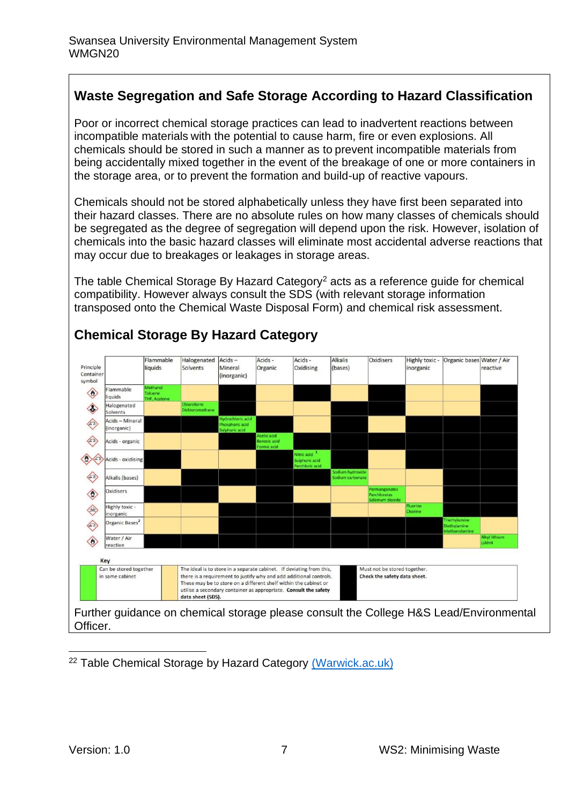# **Waste Segregation and Safe Storage According to Hazard Classification**

Poor or incorrect chemical storage practices can lead to inadvertent reactions between incompatible materials with the potential to cause harm, fire or even explosions. All chemicals should be stored in such a manner as to prevent incompatible materials from being accidentally mixed together in the event of the breakage of one or more containers in the storage area, or to prevent the formation and build-up of reactive vapours.

Chemicals should not be stored alphabetically unless they have first been separated into their hazard classes. There are no absolute rules on how many classes of chemicals should be segregated as the degree of segregation will depend upon the risk. However, isolation of chemicals into the basic hazard classes will eliminate most accidental adverse reactions that may occur due to breakages or leakages in storage areas.

The table Chemical Storage By Hazard Category<sup>2</sup> acts as a reference quide for chemical compatibility. However always consult the SDS (with relevant storage information transposed onto the Chemical Waste Disposal Form) and chemical risk assessment.



# **Chemical Storage By Hazard Category**

<sup>22</sup> Table Chemical Storage by Hazard Category [\(Warwick.ac.uk\)](https://warwick.ac.uk/services/healthsafetywellbeing/guidance/chemical_safety/segregationofchemicals/chemical_segregation_chart.jpg?)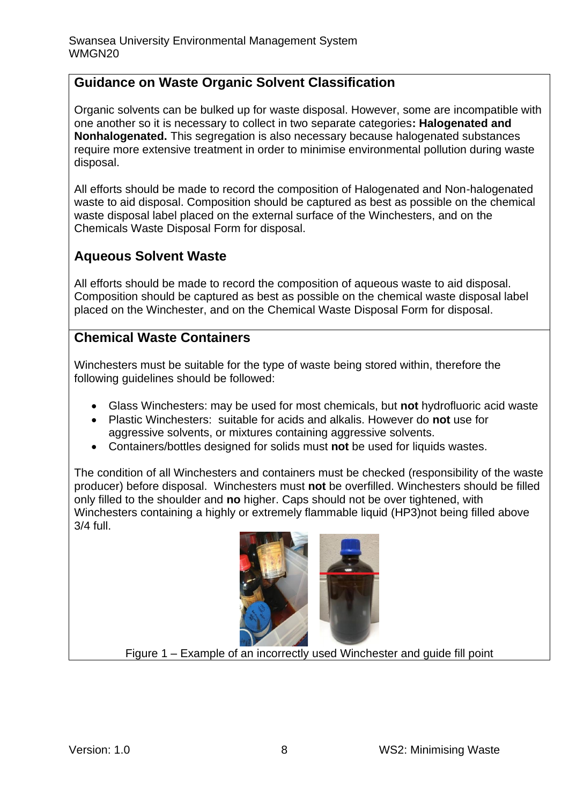# **Guidance on Waste Organic Solvent Classification**

Organic solvents can be bulked up for waste disposal. However, some are incompatible with one another so it is necessary to collect in two separate categories**: Halogenated and Nonhalogenated.** This segregation is also necessary because halogenated substances require more extensive treatment in order to minimise environmental pollution during waste disposal.

All efforts should be made to record the composition of Halogenated and Non-halogenated waste to aid disposal. Composition should be captured as best as possible on the chemical waste disposal label placed on the external surface of the Winchesters, and on the Chemicals Waste Disposal Form for disposal.

# **Aqueous Solvent Waste**

All efforts should be made to record the composition of aqueous waste to aid disposal. Composition should be captured as best as possible on the chemical waste disposal label placed on the Winchester, and on the Chemical Waste Disposal Form for disposal.

# **Chemical Waste Containers**

Winchesters must be suitable for the type of waste being stored within, therefore the following guidelines should be followed:

- Glass Winchesters: may be used for most chemicals, but **not** hydrofluoric acid waste
- Plastic Winchesters: suitable for acids and alkalis. However do **not** use for aggressive solvents, or mixtures containing aggressive solvents.
- Containers/bottles designed for solids must not be used for liquids wastes.

The condition of all Winchesters and containers must be checked (responsibility of the waste producer) before disposal. Winchesters must **not** be overfilled. Winchesters should be filled only filled to the shoulder and **no** higher. Caps should not be over tightened, with Winchesters containing a highly or extremely flammable liquid (HP3)not being filled above 3/4 full.



Figure 1 – Example of an incorrectly used Winchester and guide fill point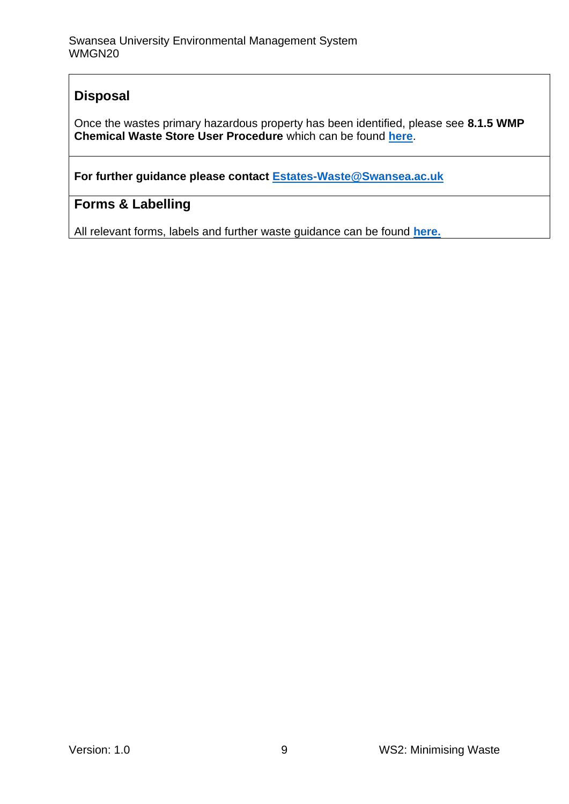# **Disposal**

Once the wastes primary hazardous property has been identified, please see **8.1.5 WMP Chemical Waste Store User Procedure** which can be found **[here](https://www.swansea.ac.uk/sustainability/ems/#labs=is-expanded)**.

**For further guidance please contact [Estates-Waste@Swansea.ac.uk](mailto:Estates-Waste@Swansea.ac.uk)**

# **Forms & Labelling**

All relevant forms, labels and further waste guidance can be found **[here.](https://www.swansea.ac.uk/sustainability/waste/#waste-management-guidance-notes=is-expanded)**